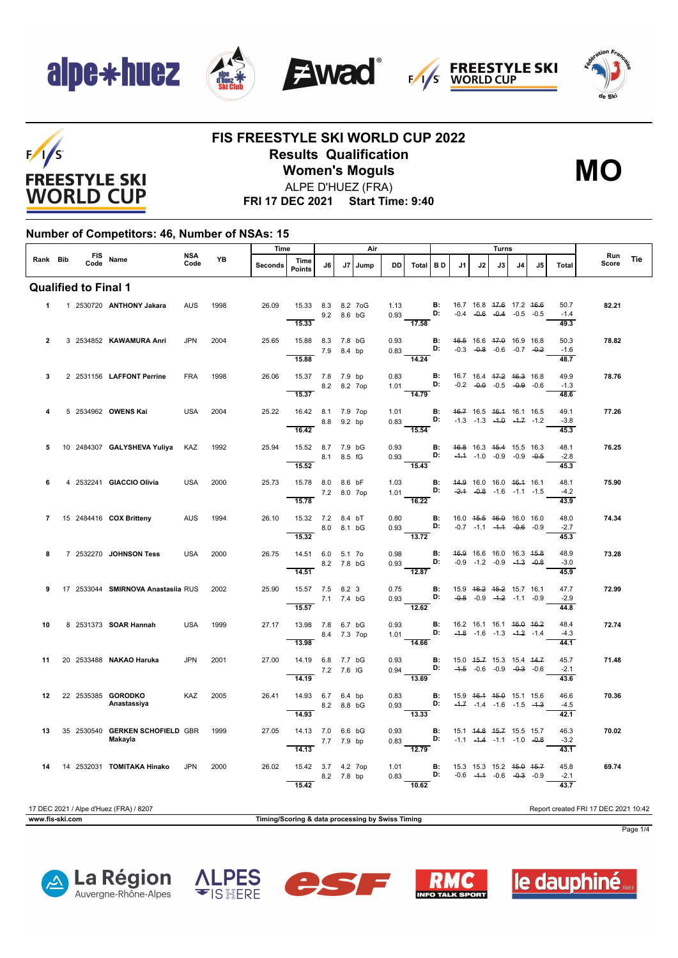

 $F/1/S$ 

**FREESTYLE SKI WORLD CUP** 







#### **FIS FREESTYLE SKI WORLD CUP 2022 Results Qualification Women's Moguls** ALPE D'HUEZ (FRA)



**FRI 17 DEC 2021 Start Time: 9:40**

#### **Number of Competitors: 46, Number of NSAs: 15**

|                |                             |  |                                            |                    |      | Air     |                                                 |             |    |      |              | Turns                                                                                                                          |                                                          |                                            |    |                                                                           |                |     |                        |                                      |            |
|----------------|-----------------------------|--|--------------------------------------------|--------------------|------|---------|-------------------------------------------------|-------------|----|------|--------------|--------------------------------------------------------------------------------------------------------------------------------|----------------------------------------------------------|--------------------------------------------|----|---------------------------------------------------------------------------|----------------|-----|------------------------|--------------------------------------|------------|
| Rank Bib       |                             |  | FIS Name                                   | <b>NSA</b><br>Code | YB   | Seconds | Time<br><b>Points</b>                           | J6          | J7 | Jump | <b>DD</b>    | <b>Total</b>                                                                                                                   | <b>BD</b>                                                | J1                                         | J2 | J3                                                                        | J <sub>4</sub> | .15 | <b>Total</b>           | Run<br>Score                         | <b>Tie</b> |
|                | <b>Qualified to Final 1</b> |  |                                            |                    |      |         |                                                 |             |    |      |              |                                                                                                                                |                                                          |                                            |    |                                                                           |                |     |                        |                                      |            |
| $\mathbf 1$    |                             |  | 1 2530720 ANTHONY Jakara                   | AUS                | 1998 | 26.09   | 15.33 8.3 8.2 7oG<br>15.33                      | 9.2 8.6 bG  |    |      | 1.13<br>0.93 | <b>B:</b> 16.7 16.8 <del>17.6</del> 17.2 <del>16.6</del><br><b>D:</b> -0.4 <del>-0.6</del> - <del>0.4</del> -0.5 -0.5<br>17.58 | <b>B:</b> 16.7 16.8 <del>17.6</del> 17.2 <del>16.6</del> |                                            |    |                                                                           |                |     | 50.7<br>$-1.4$<br>49.3 | 82.21                                |            |
| $\overline{2}$ |                             |  | 3 2534852 KAWAMURA Anri                    | <b>JPN</b>         | 2004 | 25.65   | 15.88 8.3 7.8 bG<br>15.88                       | 7.9 8.4 bp  |    |      | 0.93         | $0.83$ D:<br>$\overline{14.24}$                                                                                                | <b>B:</b>                                                |                                            |    | 46.5 16.6 47.0 16.9 16.8<br>$-0.3$ $-0.8$ $-0.6$ $-0.7$ $-0.2$            |                |     | 50.3<br>$-1.6$<br>48.7 | 78.82                                |            |
| 3              |                             |  | 2 2531156 LAFFONT Perrine                  | <b>FRA</b>         | 1998 | 26.06   | 15.37 7.8 7.9 bp<br>8.2 8.2 7op<br>15.37        |             |    |      | 0.83         | 1.01<br>14.79                                                                                                                  | B:<br>D:                                                 |                                            |    | 16.7 16.4 <del>17.2</del> 16.3 16.8<br>$-0.2$ $-0.0$ $-0.5$ $-0.9$ $-0.6$ |                |     | 49.9<br>$-1.3$<br>48.6 | 78.76                                |            |
| 4              |                             |  | 5 2534962 OWENS Kai                        | <b>USA</b>         | 2004 | 25.22   | 16.42 8.1 7.9 7op<br>16.42                      | 8.8 9.2 bp  |    |      |              | 1.01 <b>B:</b> 46.7 16.5 46.4 16.1 16.5<br>0.83 <b>D:</b> -1.3 -1.3 -1.0 -1.7 -1.2<br>$\overline{15.54}$                       |                                                          |                                            |    |                                                                           |                |     | 49.1<br>$-3.8$<br>45.3 | 77.26                                |            |
| 5              |                             |  | 10 2484307 GALYSHEVA Yuliya KAZ            |                    | 1992 | 25.94   | 15.52 8.7 7.9 bG<br>8.1 8.5 fG<br>15.52         |             |    |      | 0.93         | $0.93$ D:<br>15.43                                                                                                             | <b>B:</b> 46.8 16.3 45.4 15.5 16.3                       |                                            |    | $-4.4$ $-1.0$ $-0.9$ $-0.9$ $-0.5$                                        |                |     | 48.1<br>$-2.8$<br>45.3 | 76.25                                |            |
| 6              |                             |  | 4 2532241 GIACCIO Olivia                   | USA                | 2000 | 25.73   | 15.78 8.0 8.6 bF<br>7.2 8.0 7op<br>15.78        |             |    |      | 1.03         | 1.01 <b>D:</b> $-2.4$ $-0.8$ $-1.6$ $-1.1$ $-1.5$<br>$\overline{16.22}$                                                        | <b>B:</b> 44.9 16.0 16.0 46.4 16.1                       |                                            |    |                                                                           |                |     | 48.1<br>$-4.2$<br>43.9 | 75.90                                |            |
| $\overline{7}$ |                             |  | 15 2484416 COX Britteny                    | <b>AUS</b>         | 1994 | 26.10   | 15.32 7.2 8.4 bT<br>15.32                       | 8.0 8.1 bG  |    |      |              | $0.80$ B:<br>0.93 D: $-0.7$ $-1.1$ $-1.4$ $-0.6$ $-0.9$<br>$\overline{13.72}$                                                  |                                                          | 16.0   4 <del>5.5</del> 46.0   16.0   16.0 |    |                                                                           |                |     | 48.0<br>$-2.7$<br>45.3 | 74.34                                |            |
| 8              |                             |  | 7 2532270 JOHNSON Tess                     | <b>USA</b>         | 2000 | 26.75   | 14.51 6.0 5.1 7o<br>14.51                       | 8.2 7.8 bG  |    |      | 0.98<br>0.93 | $\mathbf{B}$ :<br>$\mathbf{D}$ :<br>$\overline{12.87}$                                                                         |                                                          |                                            |    | 46.9 16.6 16.0 16.3 45.8<br>$-0.9$ $-1.2$ $-0.9$ $-4.3$ $-0.8$            |                |     | 48.9<br>$-3.0$<br>45.9 | 73.28                                |            |
| 9              |                             |  | 17 2533044 SMIRNOVA Anastasiia RUS         |                    | 2002 | 25.90   | 15.57 7.5 8.2 3<br>7.1 7.4 bG<br>15.57          |             |    |      | 0.75         | $0.93$ <b>D</b> :<br>$-12.62$                                                                                                  | <b>B:</b>                                                |                                            |    | 15.9   46.2   45.2   15.7   16.1<br>$-0.8$ $-0.9$ $-4.2$ $-1.1$ $-0.9$    |                |     | 47.7<br>$-2.9$<br>44.8 | 72.99                                |            |
| 10             |                             |  | 8 2531373 SOAR Hannah                      | <b>USA</b>         | 1999 | 27.17   | 13.98 7.8 6.7 bG<br>13.98                       | 8.4 7.3 7op |    |      | 0.93<br>1.01 | D:<br>14.66                                                                                                                    | $\mathbf{B}$ :                                           | 16.2 16.1 16.1 16.0 16.2                   |    | $-4.8$ $-1.6$ $-1.3$ $-4.2$ $-1.4$                                        |                |     | 48.4<br>$-4.3$<br>44.1 | 72.74                                |            |
| 11             |                             |  | 20 2533488 NAKAO Haruka                    | <b>JPN</b>         | 2001 | 27.00   | 14.19 6.8 7.7 bG<br>14.19                       | 7.2 7.6 IG  |    |      | 0.94         | 0.93 <b>B:</b><br>0.94 <b>D:</b><br>$\frac{1}{13.69}$                                                                          |                                                          |                                            |    | 15.0 45.7 15.3 15.4 44.7<br>$-4.5$ $-0.6$ $-0.9$ $-0.3$ $-0.6$            |                |     | 45.7<br>$-2.1$<br>43.6 | 71.48                                |            |
| 12             |                             |  | 22 2535385 GORODKO<br>Anastassiya          | KAZ                | 2005 | 26.41   | 14.93 6.7 6.4 bp<br>$8.2 \t 8.8 \t 6G$<br>14.93 |             |    |      | 0.83         | 0.93 <b>D:</b> $-4.7$ $-1.4$ $-1.6$ $-1.5$ $-4.3$<br>$\frac{1}{13.33}$                                                         | <b>B:</b>                                                | 15.9 <del>16.1 15.0</del> 15.1 15.6        |    |                                                                           |                |     | 46.6<br>$-4.5$<br>42.1 | 70.36                                |            |
| 13             |                             |  | 35 2530540 GERKEN SCHOFIELD GBR<br>Makayla |                    | 1999 | 27.05   | 14.13 7.0 6.6 bG<br>$\overline{14.13}$          | 7.7 7.9 bp  |    |      | 0.93         | $\frac{1}{12.79}$                                                                                                              | <b>B:</b>                                                |                                            |    | 15.1 44.8 45.7 15.5 15.7                                                  |                |     | 46.3<br>$-3.2$<br>43.1 | 70.02                                |            |
| 14             |                             |  | 14 2532031 TOMITAKA Hinako                 | <b>JPN</b>         | 2000 | 26.02   | 15.42 3.7 4.2 7op<br>15.42                      | 8.2 7.8 bp  |    |      | 0.83         | 1.01 <b>B:</b><br>0.83 <b>D:</b><br>$-10.62$                                                                                   |                                                          |                                            |    | 15.3 15.3 15.2 45.0 45.7<br>$-0.6$ $-4.4$ $-0.6$ $-0.3$ $-0.9$            |                |     | 45.8<br>$-2.1$<br>43.7 | 69.74                                |            |
|                |                             |  | 17 DEC 2021 / Alpe d'Huez (FRA) / 8207     |                    |      |         |                                                 |             |    |      |              |                                                                                                                                |                                                          |                                            |    |                                                                           |                |     |                        | Report created FRI 17 DEC 2021 10:42 |            |



Page 1/4









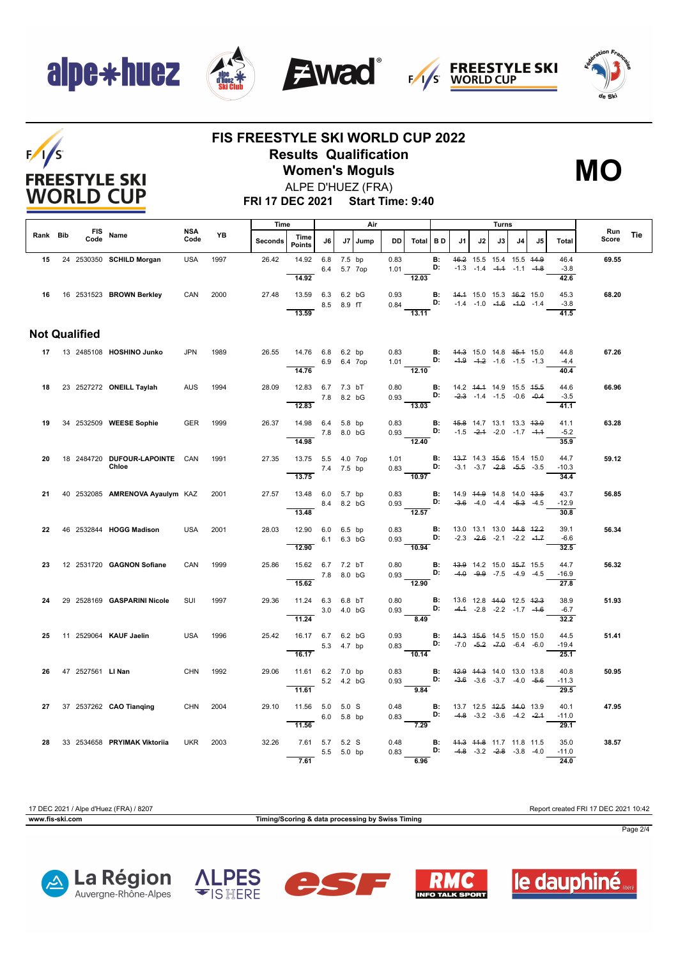## alpe\*huez

 $F/1/S$ 

**FREESTYLE SKI WORLD CUP** 









### **FIS FREESTYLE SKI WORLD CUP 2022 Results Qualification Women's Moguls**



**FRI 17 DEC 2021 Start Time: 9:40** ALPE D'HUEZ (FRA)

|          |  |                      |                                         |                    |      | Time    |                                         |            |             | Air       |              |                                                                                                          |                                               |                                    |    | Turns |                                                                                      |    |                                     |              |     |
|----------|--|----------------------|-----------------------------------------|--------------------|------|---------|-----------------------------------------|------------|-------------|-----------|--------------|----------------------------------------------------------------------------------------------------------|-----------------------------------------------|------------------------------------|----|-------|--------------------------------------------------------------------------------------|----|-------------------------------------|--------------|-----|
| Rank Bib |  | Code                 | FIS Name                                | <b>NSA</b><br>Code | YB   | Seconds | Time<br><b>Points</b>                   | J6         |             | J7   Jump | DD           | Total BD                                                                                                 |                                               | J1                                 | J2 | J3    | J <sub>4</sub>                                                                       | J5 | Total                               | Run<br>Score | Tie |
| 15       |  |                      | 24 2530350 SCHILD Morgan                | <b>USA</b>         | 1997 | 26.42   | 14.92<br>14.92                          | 6.8 7.5 bp | 6.4 5.7 7op |           | 0.83<br>1.01 | 12.03                                                                                                    | B:<br>D:                                      |                                    |    |       | 46.2 15.5 15.4 15.5 44.9<br>$-1.3$ $-1.4$ $-4.4$ $-1.1$ $-4.8$                       |    | 46.4<br>$-3.8$<br>42.6              | 69.55        |     |
|          |  |                      | 16 16 2531523 BROWN Berkley             | CAN                | 2000 | 27.48   | 13.59 6.3 6.2 bG<br>13.59               |            | 8.5 8.9 fT  |           | 0.93         | 0.84 <b>D:</b> $-1.4$ $-1.0$ $-4.6$ $-4.0$ $-1.4$<br>13.11                                               |                                               | <b>B:</b> 44.4 15.0 15.3 46.2 15.0 |    |       |                                                                                      |    | 45.3<br>$-3.8$<br>41.5              | 68.20        |     |
|          |  | <b>Not Qualified</b> |                                         |                    |      |         |                                         |            |             |           |              |                                                                                                          |                                               |                                    |    |       |                                                                                      |    |                                     |              |     |
|          |  |                      | 17 13 2485108 HOSHINO Junko             | <b>JPN</b>         | 1989 | 26.55   | 14.76 6.8 6.2 bp<br>14.76               |            | 6.9 6.4 7op |           |              | 0.83 <b>B:</b> 44.3 15.0 14.8 45.4 15.0<br>1.01 <b>D:</b> -4.9 -4.2 -1.6 -1.5 -1.3<br>12.10              |                                               |                                    |    |       |                                                                                      |    | 44.8<br>$-4.4$<br>40.4              | 67.26        |     |
| 18       |  |                      | 23 2527272 ONEILL Taylah                | AUS                | 1994 | 28.09   | 12.83 6.7 7.3 bT                        | 7.8 8.2 bG |             |           |              | 0.80 <b>B:</b><br>0.93 <b>D:</b><br>13.03                                                                |                                               | 14.2 44.4 14.9 15.5 45.5           |    |       | $-2.3$ $-1.4$ $-1.5$ $-0.6$ $-0.4$                                                   |    | 44.6<br>$-3.5$                      | 66.96        |     |
| 19       |  |                      | 34 2532509 WEESE Sophie                 | GER                | 1999 | 26.37   | 12.83<br>14.98 6.4 5.8 bp<br>7.8 8.0 bG |            |             |           |              | 0.83 <b>B:</b> 45.8 14.7 13.1 13.3 43.0<br>$0.93$ D: $-1.5$ $-2.4$ $-2.0$ $-1.7$ $-4.4$                  |                                               |                                    |    |       |                                                                                      |    | 41.1<br>41.1<br>$-5.2$              | 63.28        |     |
| 20       |  |                      | 18 2484720 DUFOUR-LAPOINTE CAN<br>Chloe |                    | 1991 | 27.35   | 14.98<br>13.75 5.5 4.0 7op              | 7.4 7.5 bp |             |           |              | $\overline{12.40}$<br>1.01 <b>B:</b><br>$0.83$ D:                                                        |                                               | $-3.1$ $-3.7$ $-2.8$ $-5.5$ $-3.5$ |    |       | 43.7 14.3 45.6 15.4 15.0                                                             |    | 35.9<br>44.7<br>$-10.3$             | 59.12        |     |
| 21       |  |                      | 40 2532085 AMRENOVA Ayaulym KAZ 2001    |                    |      | 27.57   | 13.75<br>13.48 6.0 5.7 bp<br>8.4 8.2 bG |            |             |           |              | $\frac{10.97}{ }$<br>0.83 <b>B</b> : 14.9 14.9 14.8 14.0 13.5<br>0.93 <b>D:</b> -3.6 -4.0 -4.4 -5.3 -4.5 |                                               |                                    |    |       |                                                                                      |    | 34.4<br>43.7<br>$-12.9$             | 56.85        |     |
| 22       |  |                      | 46 2532844 HOGG Madison                 | <b>USA</b>         | 2001 | 28.03   | 13.48<br>12.90 6.0 6.5 bp               |            | 6.1 6.3 bG  |           | 0.83         | $\overline{12.57}$<br>$0.93$ D:                                                                          | B:                                            |                                    |    |       | 13.0 13.1 13.0 44.8 42.2<br>$-2.3$ $-2.6$ $-2.1$ $-2.2$ $-4.7$                       |    | 30.8<br>39.1<br>$-6.6$              | 56.34        |     |
| 23       |  |                      | 12 2531720 GAGNON Sofiane               | CAN                | 1999 | 25.86   | 12.90<br>15.62 6.7 7.2 bT<br>7.8 8.0 bG |            |             |           | 0.80         | 10.94<br>$0.93$ D:                                                                                       | B:                                            |                                    |    |       | 43.9 14.2 15.0 45.7 15.5<br>$-4.0$ $-9.9$ $-7.5$ $-4.9$ $-4.5$                       |    | 32.5<br>44.7<br>$-16.9$             | 56.32        |     |
| 24       |  |                      | 29 2528169 GASPARINI Nicole             | SUI                | 1997 | 29.36   | 15.62<br>11.24 6.3 6.8 bT               |            | 3.0 4.0 bG  |           | 0.80<br>0.93 | $\frac{1.56}{12.90}$<br>D:                                                                               | B:                                            |                                    |    |       | 13.6 12.8 <del>14.0</del> 12.5 <del>12.3</del><br>$-4.4$ $-2.8$ $-2.2$ $-1.7$ $-1.6$ |    | $\overline{27.8}$<br>38.9<br>$-6.7$ | 51.93        |     |
| 25       |  |                      | 11 2529064 KAUF Jaelin                  | <b>USA</b>         | 1996 | 25.42   | 11.24<br>16.17 6.7 6.2 bG               |            | 5.3 4.7 bp  |           | 0.93         | 8.49<br>0.83 <b>D:</b> $-7.0$ $-5.2$ $-7.0$ $-6.4$ $-6.0$                                                | B:                                            |                                    |    |       | 44.3 45.6 14.5 15.0 15.0                                                             |    | 32.2<br>44.5<br>$-19.4$             | 51.41        |     |
| 26       |  |                      | 47 2527561 LINan                        | <b>CHN</b>         | 1992 | 29.06   | 16.17<br>11.61 6.2 7.0 bp               |            |             |           | 0.83         | $\frac{1}{10.14}$                                                                                        | B:                                            | 42.9 44.3 14.0 13.0 13.8           |    |       |                                                                                      |    | 25.1<br>40.8                        | 50.95        |     |
|          |  |                      |                                         |                    |      |         | 11.61                                   |            | 5.2 4.2 bG  |           | 0.93         | 9.84                                                                                                     | D:                                            |                                    |    |       | $-3.6$ $-3.6$ $-3.7$ $-4.0$ $-5.6$                                                   |    | $-11.3$<br>29.5                     |              |     |
| 27       |  |                      | 37 2537262 CAO Tianging                 | CHN 2004           |      | 29.10   | 11.56 5.0 5.0 S<br>11.56                | 6.0 5.8 bp |             |           | 0.48         | $0.83$ D:<br>7.29                                                                                        | <b>B:</b> 13.7 12.5 <del>12.5</del> 14.0 13.9 |                                    |    |       | $-4.8$ $-3.2$ $-3.6$ $-4.2$ $-2.4$                                                   |    | 40.1<br>$-11.0$<br>29.1             | 47.95        |     |
| 28       |  |                      | 33 2534658 PRYIMAK Viktoriia            | UKR                | 2003 | 32.26   | 7.61 5.7 5.2 S<br>7.61                  |            | 5.5 5.0 bp  |           | 0.48         | $0.83$ D:<br>6.96                                                                                        | <b>B:</b> 44.3 44.8 11.7 11.8 11.5            | $-4.8$ $-3.2$ $-2.8$ $-3.8$ $-4.0$ |    |       |                                                                                      |    | 35.0<br>$-11.0$<br>24.0             | 38.57        |     |

**www.fis-ski.com Timing/Scoring & data processing by Swiss Timing**

17 DEC 2021 / Alpe d'Huez (FRA) / 8207 Report created FRI 17 DEC 2021 10:42



Page 2/4









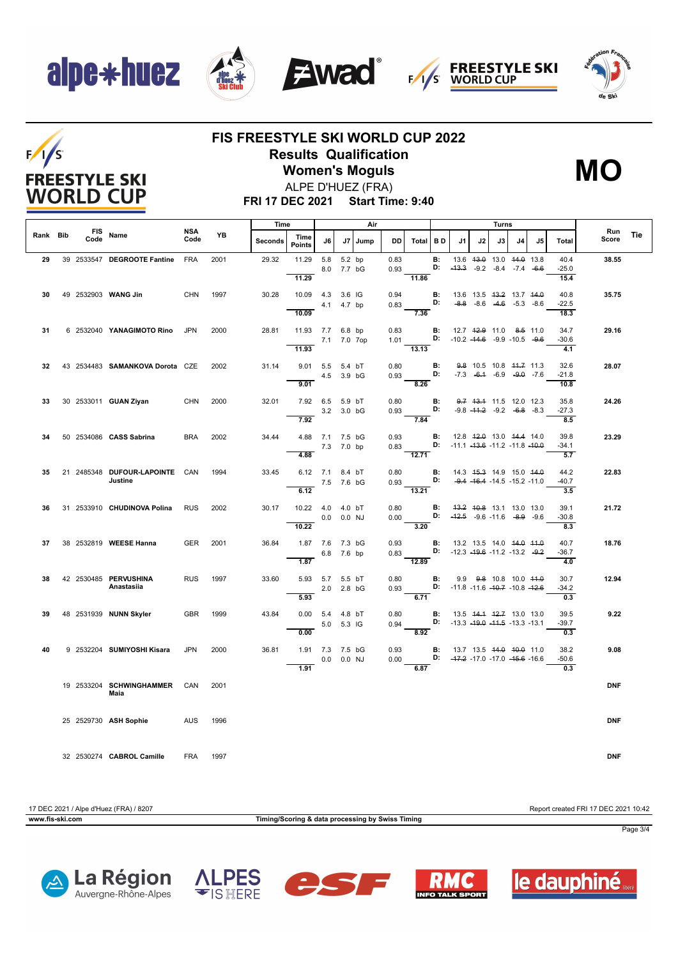## alpe\*huez

 $F/1/S$ 

**FREESTYLE SKI WORLD CUP** 









### **FIS FREESTYLE SKI WORLD CUP 2022 Results Qualification**

**Women's Moguls** ALPE D'HUEZ (FRA)



**FRI 17 DEC 2021 Start Time: 9:40**

|          |  |      |                                           |                    |      | Time           |                                               |                |                          | Air     |              |                                                                    |                |                                                                             |    | Turns |                                                                |    |                                     |              |     |
|----------|--|------|-------------------------------------------|--------------------|------|----------------|-----------------------------------------------|----------------|--------------------------|---------|--------------|--------------------------------------------------------------------|----------------|-----------------------------------------------------------------------------|----|-------|----------------------------------------------------------------|----|-------------------------------------|--------------|-----|
| Rank Bib |  | Code | FIS Name                                  | <b>NSA</b><br>Code | YB   | <b>Seconds</b> | Time<br><b>Points</b>                         | J6             |                          | J7 Jump | DD           | Total BD                                                           |                | .11                                                                         | J2 | J3    | J4                                                             | J5 | Total                               | Run<br>Score | Tie |
| 29       |  |      | 39 2533547 DEGROOTE Fantine               | <b>FRA</b>         | 2001 | 29.32          | 11.29<br>11.29                                |                | 5.8 5.2 bp<br>8.0 7.7 bG |         | 0.83         | 0.93<br>11.86                                                      | <b>B:</b>      | <b>D:</b> $-43.3$ $-9.2$ $-8.4$ $-7.4$ $-6.6$                               |    |       | 13.6 43.0 13.0 44.0 13.8                                       |    | 40.4<br>$-25.0$<br>15.4             | 38.55        |     |
| 30       |  |      | 49 2532903 WANG Jin                       | <b>CHN</b>         | 1997 | 30.28          | 10.09  4.3  3.6  IG<br>10.09                  |                | 4.1  4.7 bp              |         | 0.94<br>0.83 | D:<br>7.36                                                         | B:             | 13.6 13.5 43.2 13.7 44.0                                                    |    |       | $-8.8$ $-8.6$ $-4.6$ $-5.3$ $-8.6$                             |    | 40.8<br>$-22.5$<br>18.3             | 35.75        |     |
| 31       |  |      | 6 2532040 YANAGIMOTO Rino                 | <b>JPN</b>         | 2000 | 28.81          | 11.93 7.7 6.8 bp                              |                | 7.1 7.0 7op              |         | 0.83         | 1.01 <b>D:</b> $-10.2 -14.6 -9.9 -10.5 -9.6$                       | $\blacksquare$ | 12.7 <del>12.9</del> 11.0 8.5 11.0                                          |    |       |                                                                |    | 34.7<br>$-30.6$                     | 29.16        |     |
| 32       |  |      | 43 2534483 SAMANKOVA Dorota CZE           |                    | 2002 | 31.14          | 11.93<br>9.01 5.5 5.4 bT<br>$\overline{9.01}$ | 4.5 3.9 bG     |                          |         | 0.80         | $\overline{13.13}$<br>$0.93$ D: -7.3 -6.1 -6.9 -9.0 -7.6<br>8.26   | В:             |                                                                             |    |       | 9.8 10.5 10.8 44.7 11.3                                        |    | 4.1<br>32.6<br>$-21.8$<br>10.8      | 28.07        |     |
| 33       |  |      | 30 2533011 <b>GUAN Ziyan</b>              | <b>CHN</b>         | 2000 | 32.01          | 7.92 6.5 5.9 bT<br>7.92                       |                | 3.2 3.0 bG               |         | 0.80         | $0.93$ D:<br>7.84                                                  | <b>B:</b>      |                                                                             |    |       | 9.7 43.4 11.5 12.0 12.3<br>$-9.8$ $-44.2$ $-9.2$ $-6.8$ $-8.3$ |    | 35.8<br>$-27.3$<br>8.5              | 24.26        |     |
| 34       |  |      | 50 2534086 CASS Sabrina                   | <b>BRA</b>         | 2002 | 34.44          | 4.88 7.1 7.5 bG<br>4.88                       | 7.3 7.0 bp     |                          |         | 0.93         | 0.83 D: -11.1 -13.6 -11.2 -11.8 -10.0<br>$-12.71$                  |                | <b>B:</b> 12.8 4 <del>2.0</del> 13.0 44.4 14.0                              |    |       |                                                                |    | 39.8<br>$-34.1$<br>5.7              | 23.29        |     |
| 35       |  |      | 21 2485348 DUFOUR LAPOINTE CAN<br>Justine |                    | 1994 | 33.45          | 6.12 7.1 8.4 bT<br>6.12                       | 7.5 7.6 bG     |                          |         | 0.80<br>0.93 | $\overline{13.21}$                                                 | D:             | <b>B:</b> 14.3 45.3 14.9 15.0 44.0                                          |    |       | $-9.4$ $-16.4$ $-14.5$ $-15.2$ $-11.0$                         |    | 44.2<br>$-40.7$<br>$\overline{3.5}$ | 22.83        |     |
| 36.      |  |      | 31 2533910 CHUDINOVA Polina               | <b>RUS</b>         | 2002 | 30.17          | 10.22  4.0  4.0 bT<br>10.22                   | $0.0$ $0.0$ NJ |                          |         | 0.80         | 0.00 D: $-42.5$ $-9.6$ -11.6 $-8.9$ -9.6<br>3.20                   |                | <b>B:</b> 43.2 40.8 13.1 13.0 13.0                                          |    |       |                                                                |    | 39.1<br>$-30.8$<br>8.3              | 21.72        |     |
| 37       |  |      | 38 2532819 WEESE Hanna                    | <b>GER</b>         | 2001 | 36.84          | 1.87 7.6 7.3 bG<br>1.87                       |                | 6.8 7.6 bp               |         |              | 0.93<br>0.83 D: -12.3 -19.6 -11.2 -13.2 -9.2<br>$\overline{12.89}$ |                | <b>B:</b> 13.2 13.5 14.0 <del>14.0</del> 11.0                               |    |       |                                                                |    | 40.7<br>$-36.7$<br>4.0              | 18.76        |     |
| 38       |  |      | 42 2530485 PERVUSHINA<br>Anastasiia       | <b>RUS</b>         | 1997 | 33.60          | 5.93 5.7 5.5 bT<br>5.93                       |                | 2.0 2.8 bG               |         | 0.80<br>0.93 | $-6.71$                                                            | <b>B:</b>      | 9.9 <del>9.8</del> 10.8 10.0 44.0<br>D: $-11.8 - 11.6 - 10.7 - 10.8 - 12.6$ |    |       |                                                                |    | 30.7<br>$-34.2$<br>0.3              | 12.94        |     |
| 39       |  |      | 48 2531939 NUNN Skyler                    | <b>GBR</b>         | 1999 | 43.84          | 0.00 5.4 4.8 bT<br>0.00                       |                | 5.0 5.3 IG               |         | 0.80         | 0.94 <b>D:</b> -13.3 -19.0 -11.5 -13.3 -13.1<br>8.92               |                | <b>B</b> : 13.5 44.4 42.7 13.0 13.0                                         |    |       |                                                                |    | 39.5<br>$-39.7$<br>0.3              | 9.22         |     |
| 40       |  |      | 9 2532204 SUMIYOSHI Kisara                | <b>JPN</b>         | 2000 | 36.81          | 1.91 7.3 7.5 bG<br>1.91                       |                | $0.0$ $0.0$ NJ           |         | 0.93         | 0.00 <b>D:</b> $-47.2$ -17.0 -17.0 -45.6 -16.6<br>6.87             | В:             | 13.7 13.5 44.0 40.0 11.0                                                    |    |       |                                                                |    | 38.2<br>$-50.6$<br>0.3              | 9.08         |     |
|          |  |      | 19  2533204  SCHWINGHAMMER<br>Maia        | CAN                | 2001 |                |                                               |                |                          |         |              |                                                                    |                |                                                                             |    |       |                                                                |    |                                     | <b>DNF</b>   |     |
|          |  |      | 25 2529730 ASH Sophie AUS                 |                    | 1996 |                |                                               |                |                          |         |              |                                                                    |                |                                                                             |    |       |                                                                |    |                                     | <b>DNF</b>   |     |
|          |  |      | 32 2530274 CABROL Camille                 | <b>FRA</b>         | 1997 |                |                                               |                |                          |         |              |                                                                    |                |                                                                             |    |       |                                                                |    |                                     | <b>DNF</b>   |     |

17 DEC 2021 / Alpe d'Huez (FRA) / 8207 Report created FRI 17 DEC 2021 10:42

**www.fis-ski.com Timing/Scoring & data processing by Swiss Timing**

Page 3/4